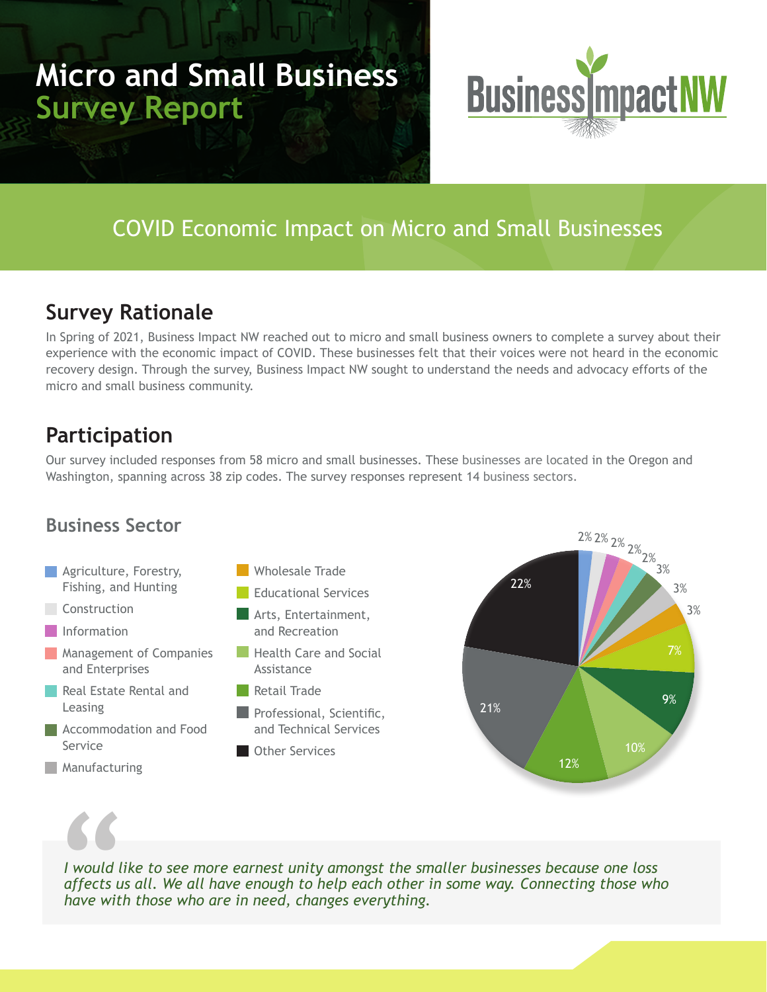# **Micro and Small Business Survey Report**



# COVID Economic Impact on Micro and Small Businesses

### **Survey Rationale**

In Spring of 2021, Business Impact NW reached out to micro and small business owners to complete a survey about their experience with the economic impact of COVID. These businesses felt that their voices were not heard in the economic recovery design. Through the survey, Business Impact NW sought to understand the needs and advocacy efforts of the micro and small business community.

# **Participation**

Our survey included responses from 58 micro and small businesses. These businesses are located in the Oregon and Washington, spanning across 38 zip codes. The survey responses represent 14 business sectors.

### **Business Sector**

- **Agriculture, Forestry,** Fishing, and Hunting
- **Construction**
- **Information**
- **Management of Companies** and Enterprises
- Real Estate Rental and Leasing
- **Accommodation and Food** Service
- **Manufacturing**



- **Arts, Entertainment,** and Recreation
- **Health Care and Social** Assistance
- **Retail Trade**
- **Professional, Scientific,** and Technical Services
- **Cother Services**





*I would like to see more earnest unity amongst the smaller businesses because one loss affects us all. We all have enough to help each other in some way. Connecting those who have with those who are in need, changes everything.*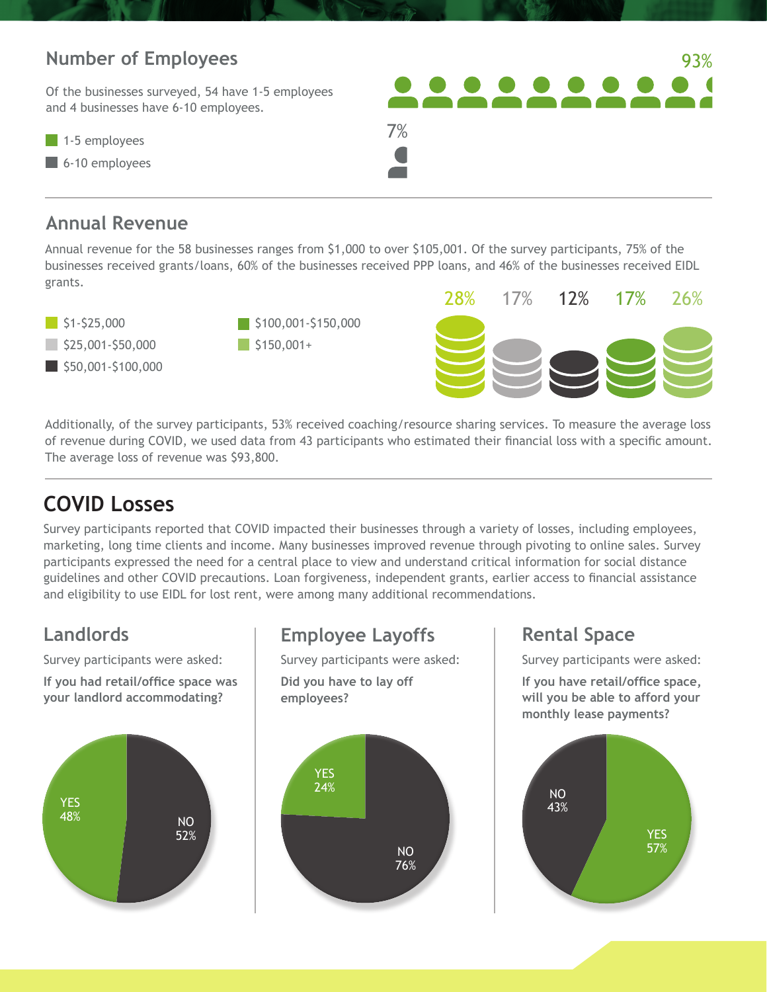### **Number of Employees**

Of the businesses surveyed, 54 have 1-5 employees and 4 businesses have 6-10 employees.

 $\blacksquare$  1-5 employees

6-10 employees

### **Annual Revenue**

Annual revenue for the 58 businesses ranges from \$1,000 to over \$105,001. Of the survey participants, 75% of the businesses received grants/loans, 60% of the businesses received PPP loans, and 46% of the businesses received EIDL grants.

7%







93%

Additionally, of the survey participants, 53% received coaching/resource sharing services. To measure the average loss of revenue during COVID, we used data from 43 participants who estimated their financial loss with a specific amount. The average loss of revenue was \$93,800.

# **COVID Losses**

Survey participants reported that COVID impacted their businesses through a variety of losses, including employees, marketing, long time clients and income. Many businesses improved revenue through pivoting to online sales. Survey participants expressed the need for a central place to view and understand critical information for social distance guidelines and other COVID precautions. Loan forgiveness, independent grants, earlier access to financial assistance and eligibility to use EIDL for lost rent, were among many additional recommendations.

Survey participants were asked:

**If you had retail/office space was your landlord accommodating?**



### **Landlords Employee Layoffs Rental Space**

Survey participants were asked:

**Did you have to lay off employees?**



Survey participants were asked:

**If you have retail/office space, will you be able to afford your monthly lease payments?**

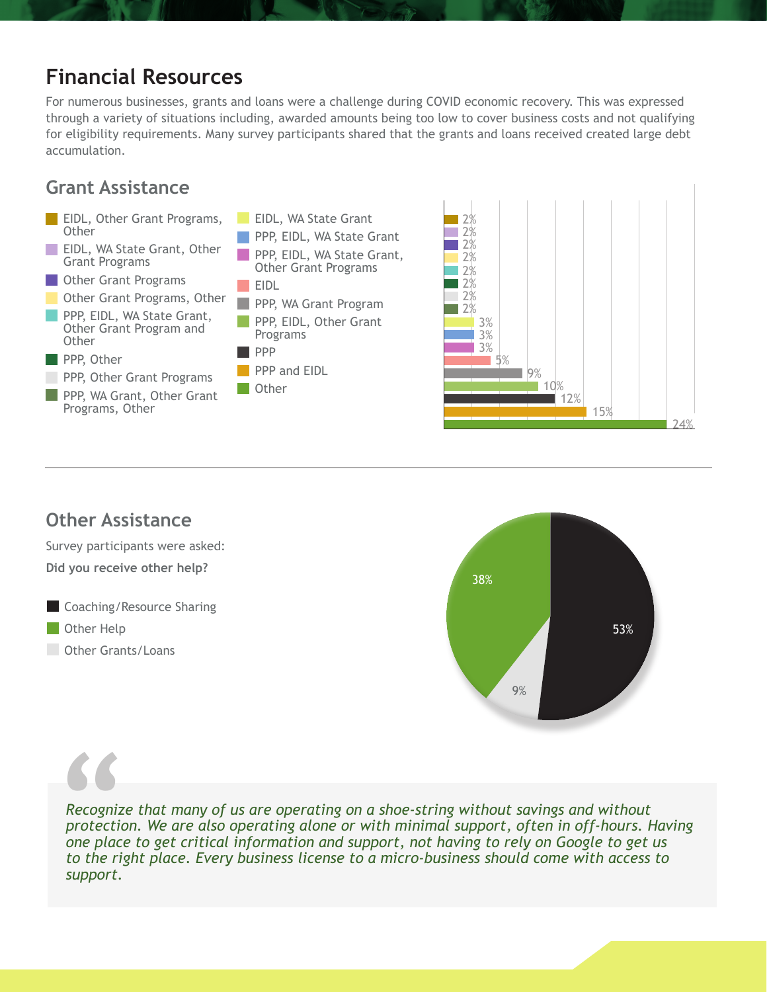# **Financial Resources**

For numerous businesses, grants and loans were a challenge during COVID economic recovery. This was expressed through a variety of situations including, awarded amounts being too low to cover business costs and not qualifying for eligibility requirements. Many survey participants shared that the grants and loans received created large debt accumulation.

### **Grant Assistance**



### **Other Assistance**

Survey participants were asked: **Did you receive other help?**

- **Coaching/Resource Sharing**
- **Other Help**
- **Other Grants/Loans**



*Recognize that many of us are operating on a shoe-string without savings and without protection. We are also operating alone or with minimal support, often in off-hours. Having one place to get critical information and support, not having to rely on Google to get us to the right place. Every business license to a micro-business should come with access to support.*  **Recognize<br>
Protection<br>
protection<br>
to the right**